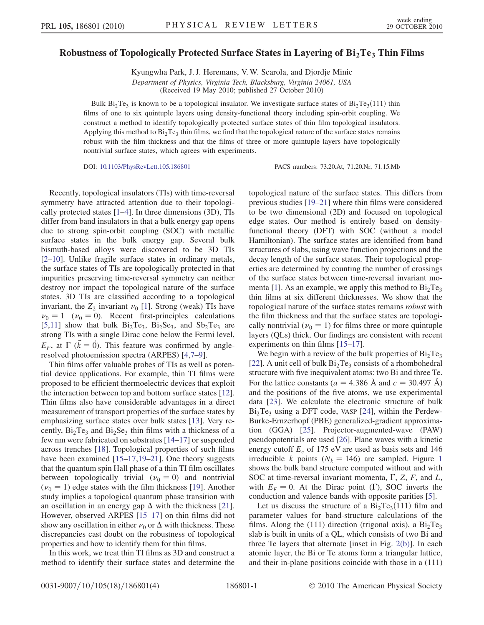## Robustness of Topologically Protected Surface States in Layering of  $Bi<sub>2</sub>Te<sub>3</sub>$  Thin Films

Kyungwha Park, J. J. Heremans, V. W. Scarola, and Djordje Minic Department of Physics, Virginia Tech, Blacksburg, Virginia 24061, USA (Received 19 May 2010; published 27 October 2010)

Bulk Bi<sub>2</sub>Te<sub>3</sub> is known to be a topological insulator. We investigate surface states of Bi<sub>2</sub>Te<sub>3</sub>(111) thin films of one to six quintuple layers using density-functional theory including spin-orbit coupling. We construct a method to identify topologically protected surface states of thin film topological insulators. Applying this method to  $Bi_2Te_3$  thin films, we find that the topological nature of the surface states remains robust with the film thickness and that the films of three or more quintuple layers have topologically nontrivial surface states, which agrees with experiments.

DOI: [10.1103/PhysRevLett.105.186801](http://dx.doi.org/10.1103/PhysRevLett.105.186801) PACS numbers: 73.20.At, 71.20.Nr, 71.15.Mb

Recently, topological insulators (TIs) with time-reversal symmetry have attracted attention due to their topologically protected states [\[1](#page-3-0)[–4\]](#page-3-1). In three dimensions (3D), TIs differ from band insulators in that a bulk energy gap opens due to strong spin-orbit coupling (SOC) with metallic surface states in the bulk energy gap. Several bulk bismuth-based alloys were discovered to be 3D TIs [\[2–](#page-3-2)[10](#page-3-3)]. Unlike fragile surface states in ordinary metals, the surface states of TIs are topologically protected in that impurities preserving time-reversal symmetry can neither destroy nor impact the topological nature of the surface states. 3D TIs are classified according to a topological invariant, the  $Z_2$  invariant  $\nu_0$  [[1](#page-3-0)]. Strong (weak) TIs have  $v_0 = 1$  ( $v_0 = 0$ ). Recent first-principles calculations [\[5,](#page-3-4)[11\]](#page-3-5) show that bulk  $Bi_2Te_3$ ,  $Bi_2Se_3$ , and  $Sb_2Te_3$  are strong TIs with a single Dirac cone below the Fermi level,  $E_F$ , at  $\Gamma$  ( $\vec{k} = \vec{0}$ ). This feature was confirmed by angleresolved photoemission spectra (ARPES) [\[4](#page-3-1)[,7](#page-3-6)[–9\]](#page-3-7).

Thin films offer valuable probes of TIs as well as potential device applications. For example, thin TI films were proposed to be efficient thermoelectric devices that exploit the interaction between top and bottom surface states [[12\]](#page-3-8). Thin films also have considerable advantages in a direct measurement of transport properties of the surface states by emphasizing surface states over bulk states [\[13\]](#page-3-9). Very recently,  $Bi_2Te_3$  and  $Bi_2Se_3$  thin films with a thickness of a few nm were fabricated on substrates [[14](#page-3-10)–[17](#page-3-11)] or suspended across trenches [\[18\]](#page-3-12). Topological properties of such films have been examined [\[15](#page-3-13)–[17](#page-3-11),[19](#page-3-14)[–21\]](#page-3-15). One theory suggests that the quantum spin Hall phase of a thin TI film oscillates between topologically trivial  $(\nu_0 = 0)$  and nontrivial  $(\nu_0 = 1)$  edge states with the film thickness [\[19\]](#page-3-14). Another study implies a topological quantum phase transition with an oscillation in an energy gap  $\Delta$  with the thickness [\[21\]](#page-3-15). However, observed ARPES [[15](#page-3-13)–[17\]](#page-3-11) on thin films did not show any oscillation in either  $\nu_0$  or  $\Delta$  with thickness. These discrepancies cast doubt on the robustness of topological properties and how to identify them for thin films.

In this work, we treat thin TI films as 3D and construct a method to identify their surface states and determine the topological nature of the surface states. This differs from previous studies [[19](#page-3-14)[–21\]](#page-3-15) where thin films were considered to be two dimensional (2D) and focused on topological edge states. Our method is entirely based on densityfunctional theory (DFT) with SOC (without a model Hamiltonian). The surface states are identified from band structures of slabs, using wave function projections and the decay length of the surface states. Their topological properties are determined by counting the number of crossings of the surface states between time-reversal invariant mo-menta [[1\]](#page-3-0). As an example, we apply this method to  $Bi<sub>2</sub>Te<sub>3</sub>$ thin films at six different thicknesses. We show that the topological nature of the surface states remains robust with the film thickness and that the surface states are topologically nontrivial ( $\nu_0 = 1$ ) for films three or more quintuple layers (QLs) thick. Our findings are consistent with recent experiments on thin films [\[15–](#page-3-13)[17\]](#page-3-11).

We begin with a review of the bulk properties of  $Bi_2Te_3$ [\[22\]](#page-3-16). A unit cell of bulk  $Bi<sub>2</sub>Te<sub>3</sub>$  consists of a rhombohedral structure with five inequivalent atoms: two Bi and three Te. For the lattice constants ( $a = 4.386$  Å and  $c = 30.497$  Å) and the positions of the five atoms, we use experimental data [[23](#page-3-17)]. We calculate the electronic structure of bulk  $Bi<sub>2</sub>Te<sub>3</sub>$  using a DFT code, VASP [[24](#page-3-18)], within the Perdew-Burke-Ernzerhopf (PBE) generalized-gradient approximation (GGA) [\[25\]](#page-3-19). Projector-augmented-wave (PAW) pseudopotentials are used [\[26](#page-3-20)]. Plane waves with a kinetic energy cutoff  $E_c$  of 175 eV are used as basis sets and 146 irreducible k points ( $N_k = 146$  $N_k = 146$  $N_k = 146$ ) are sampled. Figure 1 shows the bulk band structure computed without and with SOC at time-reversal invariant momenta,  $\Gamma$ , Z, F, and L, with  $E_F = 0$ . At the Dirac point ( $\Gamma$ ), SOC inverts the conduction and valence bands with opposite parities [[5](#page-3-4)].

Let us discuss the structure of a  $Bi_2Te_3(111)$  film and parameter values for band-structure calculations of the films. Along the (111) direction (trigonal axis), a  $Bi<sub>2</sub>Te<sub>3</sub>$ slab is built in units of a QL, which consists of two Bi and three Te layers that alternate [inset in Fig. [2\(b\)\]](#page-1-1). In each atomic layer, the Bi or Te atoms form a triangular lattice, and their in-plane positions coincide with those in a (111)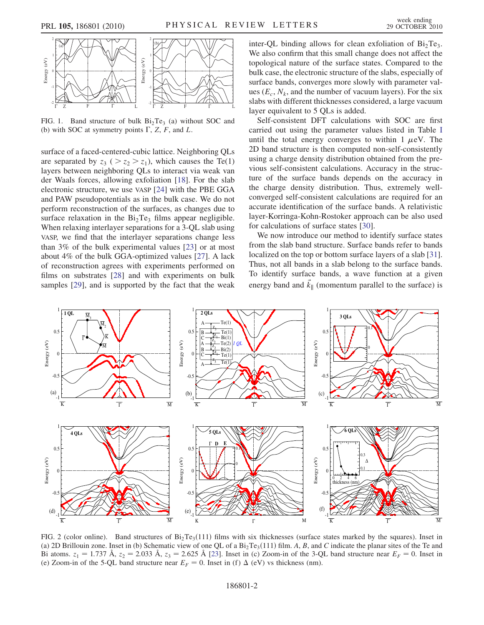<span id="page-1-0"></span>

FIG. 1. Band structure of bulk  $Bi<sub>2</sub>Te<sub>3</sub>$  (a) without SOC and (b) with SOC at symmetry points  $\Gamma$ , Z, F, and L.

surface of a faced-centered-cubic lattice. Neighboring QLs are separated by  $z_3$  (  $> z_2 > z_1$ ), which causes the Te(1) layers between neighboring QLs to interact via weak van der Waals forces, allowing exfoliation [\[18\]](#page-3-12). For the slab electronic structure, we use VASP [[24](#page-3-18)] with the PBE GGA and PAW pseudopotentials as in the bulk case. We do not perform reconstruction of the surfaces, as changes due to surface relaxation in the  $Bi_2Te_3$  films appear negligible. When relaxing interlayer separations for a 3-QL slab using VASP, we find that the interlayer separations change less than 3% of the bulk experimental values [\[23\]](#page-3-17) or at most about 4% of the bulk GGA-optimized values [\[27\]](#page-3-21). A lack of reconstruction agrees with experiments performed on films on substrates [\[28\]](#page-3-22) and with experiments on bulk samples [\[29](#page-3-23)], and is supported by the fact that the weak inter-QL binding allows for clean exfoliation of  $Bi_2Te_3$ . We also confirm that this small change does not affect the topological nature of the surface states. Compared to the bulk case, the electronic structure of the slabs, especially of surface bands, converges more slowly with parameter values  $(E_c, N_k)$ , and the number of vacuum layers). For the six slabs with different thicknesses considered, a large vacuum layer equivalent to 5 QLs is added.

Self-consistent DFT calculations with SOC are first carried out using the parameter values listed in Table [I](#page-2-0) until the total energy converges to within  $1 \mu$ eV. The 2D band structure is then computed non-self-consistently using a charge density distribution obtained from the previous self-consistent calculations. Accuracy in the structure of the surface bands depends on the accuracy in the charge density distribution. Thus, extremely wellconverged self-consistent calculations are required for an accurate identification of the surface bands. A relativistic layer-Korringa-Kohn-Rostoker approach can be also used for calculations of surface states [\[30\]](#page-3-24).

We now introduce our method to identify surface states from the slab band structure. Surface bands refer to bands localized on the top or bottom surface layers of a slab [[31\]](#page-3-25). Thus, not all bands in a slab belong to the surface bands. To identify surface bands, a wave function at a given energy band and  $\vec{k}_{\parallel}$  (momentum parallel to the surface) is

<span id="page-1-2"></span>

<span id="page-1-1"></span>FIG. 2 (color online). Band structures of  $Bi_2Te_3(111)$  films with six thicknesses (surface states marked by the squares). Inset in (a) 2D Brillouin zone. Inset in (b) Schematic view of one QL of a  $Bi_2Te_3(111)$  film. A, B, and C indicate the planar sites of the Te and Bi atoms.  $z_1 = 1.737$  Å,  $z_2 = 2.033$  Å,  $z_3 = 2.625$  Å [\[23\]](#page-3-17). Inset in (c) Zoom-in of the 3-QL band structure near  $E_F = 0$ . Inset in (e) Zoom-in of the 5-QL band structure near  $E_F = 0$ . Inset in (f)  $\Delta$  (eV) vs thickness (nm).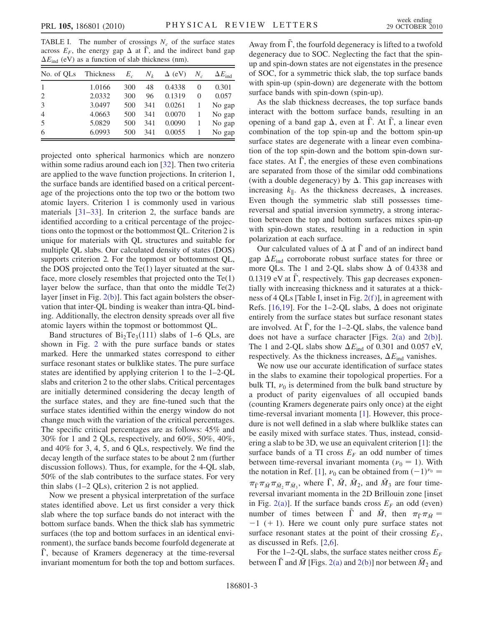<span id="page-2-0"></span>TABLE I. The number of crossings  $N_c$  of the surface states across  $E_F$ , the energy gap  $\Delta$  at  $\overline{\Gamma}$ , and the indirect band gap  $\Delta E_{\text{ind}}$  (eV) as a function of slab thickness (nm).

| No. of QLs     | Thickness | $E_c$ | $N_{k}$ | $\Delta$ (eV) | $N_c$    | $\Delta E_{\text{ind}}$ |
|----------------|-----------|-------|---------|---------------|----------|-------------------------|
| $\overline{1}$ | 1.0166    | 300   | 48      | 0.4338        | $\Omega$ | 0.301                   |
| 2              | 2.0332    | 300   | 96      | 0.1319        | $\Omega$ | 0.057                   |
| 3              | 3.0497    | 500   | 341     | 0.0261        |          | No gap                  |
| $\overline{4}$ | 4.0663    | 500   | 341     | 0.0070        |          | No gap                  |
| 5              | 5.0829    | 500   | 341     | 0.0090        |          | No gap                  |
| 6              | 6.0993    | 500   | 341     | 0.0055        |          | No gap                  |

projected onto spherical harmonics which are nonzero within some radius around each ion [\[32\]](#page-3-26). Then two criteria are applied to the wave function projections. In criterion 1, the surface bands are identified based on a critical percentage of the projections onto the top two or the bottom two atomic layers. Criterion 1 is commonly used in various materials [[31](#page-3-25)[–33\]](#page-3-27). In criterion 2, the surface bands are identified according to a critical percentage of the projections onto the topmost or the bottommost QL. Criterion 2 is unique for materials with QL structures and suitable for multiple QL slabs. Our calculated density of states (DOS) supports criterion 2. For the topmost or bottommost QL, the DOS projected onto the  $Te(1)$  layer situated at the surface, more closely resembles that projected onto the Te(1) layer below the surface, than that onto the middle Te(2) layer [inset in Fig. [2\(b\)\]](#page-1-1). This fact again bolsters the observation that inter-QL binding is weaker than intra-QL binding. Additionally, the electron density spreads over all five atomic layers within the topmost or bottommost QL.

Band structures of  $Bi<sub>2</sub>Te<sub>3</sub>(111)$  slabs of 1–6 QLs, are shown in Fig. [2](#page-1-2) with the pure surface bands or states marked. Here the unmarked states correspond to either surface resonant states or bulklike states. The pure surface states are identified by applying criterion 1 to the 1–2-QL slabs and criterion 2 to the other slabs. Critical percentages are initially determined considering the decay length of the surface states, and they are fine-tuned such that the surface states identified within the energy window do not change much with the variation of the critical percentages. The specific critical percentages are as follows: 45% and 30% for 1 and 2 QLs, respectively, and 60%, 50%, 40%, and 40% for 3, 4, 5, and 6 QLs, respectively. We find the decay length of the surface states to be about 2 nm (further discussion follows). Thus, for example, for the 4-QL slab, 50% of the slab contributes to the surface states. For very thin slabs (1–2 QLs), criterion 2 is not applied.

Now we present a physical interpretation of the surface states identified above. Let us first consider a very thick slab where the top surface bands do not interact with the bottom surface bands. When the thick slab has symmetric surfaces (the top and bottom surfaces in an identical environment), the surface bands become fourfold degenerate at  $\overline{\Gamma}$ , because of Kramers degeneracy at the time-reversal invariant momentum for both the top and bottom surfaces. Away from  $\overline{\Gamma}$ , the fourfold degeneracy is lifted to a twofold degeneracy due to SOC. Neglecting the fact that the spinup and spin-down states are not eigenstates in the presence of SOC, for a symmetric thick slab, the top surface bands with spin-up (spin-down) are degenerate with the bottom surface bands with spin-down (spin-up).

As the slab thickness decreases, the top surface bands interact with the bottom surface bands, resulting in an opening of a band gap  $\Delta$ , even at  $\overline{\Gamma}$ . At  $\overline{\Gamma}$ , a linear even combination of the top spin-up and the bottom spin-up surface states are degenerate with a linear even combination of the top spin-down and the bottom spin-down surface states. At  $\overline{\Gamma}$ , the energies of these even combinations are separated from those of the similar odd combinations (with a double degeneracy) by  $\Delta$ . This gap increases with increasing  $k_{\parallel}$ . As the thickness decreases,  $\Delta$  increases. Even though the symmetric slab still possesses timereversal and spatial inversion symmetry, a strong interaction between the top and bottom surfaces mixes spin-up with spin-down states, resulting in a reduction in spin polarization at each surface.

Our calculated values of  $\Delta$  at  $\overline{\Gamma}$  and of an indirect band gap  $\Delta E_{\text{ind}}$  corroborate robust surface states for three or more QLs. The 1 and 2-QL slabs show  $\Delta$  of 0.4338 and 0.1319 eV at  $\overline{\Gamma}$ , respectively. This gap decreases exponentially with increasing thickness and it saturates at a thickness of 4 QLs [Table [I](#page-2-0), inset in Fig. [2\(f \)](#page-1-1)], in agreement with Refs. [\[16](#page-3-28)[,19\]](#page-3-14). For the 1-2-QL slabs,  $\Delta$  does not originate entirely from the surface states but surface resonant states are involved. At  $\overline{\Gamma}$ , for the 1–2-QL slabs, the valence band does not have a surface character [Figs. [2\(a\)](#page-1-1) and [2\(b\)\]](#page-1-1). The 1 and 2-QL slabs show  $\Delta E_{\text{ind}}$  of 0.301 and 0.057 eV, respectively. As the thickness increases,  $\Delta E_{\text{ind}}$  vanishes.

We now use our accurate identification of surface states in the slabs to examine their topological properties. For a bulk TI,  $\nu_0$  is determined from the bulk band structure by a product of parity eigenvalues of all occupied bands (counting Kramers degenerate pairs only once) at the eight time-reversal invariant momenta [\[1](#page-3-0)]. However, this procedure is not well defined in a slab where bulklike states can be easily mixed with surface states. Thus, instead, considering a slab to be 3D, we use an equivalent criterion [\[1\]](#page-3-0): the surface bands of a TI cross  $E_F$  an odd number of times between time-reversal invariant momenta ( $\nu_0 = 1$ ). With the notation in Ref. [[1](#page-3-0)],  $\nu_0$  can be obtained from  $(-1)^{\nu_0}$  =  $\pi_{\bar{\Gamma}} \pi_{\bar{M}} \pi_{\bar{M}_2} \pi_{\bar{M}_3}$ , where  $\bar{\Gamma}$ ,  $\bar{M}$ ,  $\bar{M}_2$ , and  $\bar{M}_3$  are four timereversal invariant momenta in the 2D Brillouin zone [inset in Fig. [2\(a\)](#page-1-1)]. If the surface bands cross  $E_F$  an odd (even) number of times between  $\Gamma$  and  $\overline{M}$ , then  $\pi_{\overline{\Gamma}} \pi_{\overline{M}} =$  $-1$  (+ 1). Here we count only pure surface states not surface resonant states at the point of their crossing  $E_F$ , as discussed in Refs. [\[2,](#page-3-2)[6](#page-3-29)].

For the 1–2-QL slabs, the surface states neither cross  $E_F$ between  $\overline{\Gamma}$  and  $\overline{M}$  [Figs. [2\(a\)](#page-1-1) and [2\(b\)](#page-1-1)] nor between  $\overline{M}_2$  and